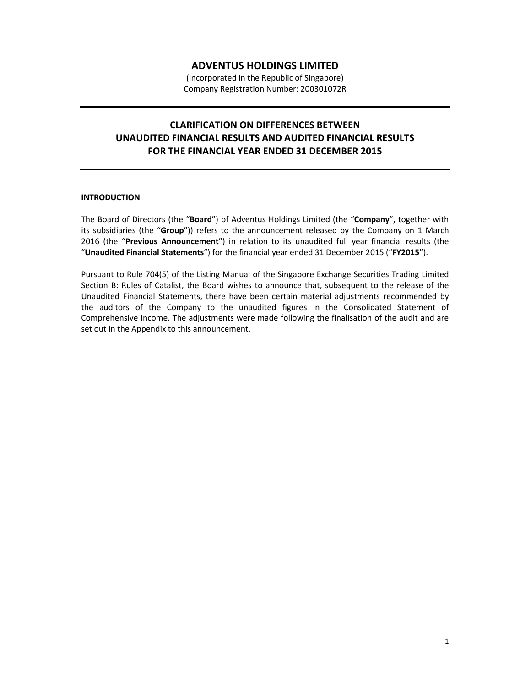## **ADVENTUS HOLDINGS LIMITED**

(Incorporated in the Republic of Singapore) Company Registration Number: 200301072R

## **CLARIFICATION ON DIFFERENCES BETWEEN UNAUDITED FINANCIAL RESULTS AND AUDITED FINANCIAL RESULTS FOR THE FINANCIAL YEAR ENDED 31 DECEMBER 2015**

## **INTRODUCTION**

The Board of Directors (the "**Board**") of Adventus Holdings Limited (the "**Company**", together with its subsidiaries (the "**Group**")) refers to the announcement released by the Company on 1 March 2016 (the "**Previous Announcement**") in relation to its unaudited full year financial results (the "**Unaudited Financial Statements**") for the financial year ended 31 December 2015 ("**FY2015**").

Pursuant to Rule 704(5) of the Listing Manual of the Singapore Exchange Securities Trading Limited Section B: Rules of Catalist, the Board wishes to announce that, subsequent to the release of the Unaudited Financial Statements, there have been certain material adjustments recommended by the auditors of the Company to the unaudited figures in the Consolidated Statement of Comprehensive Income. The adjustments were made following the finalisation of the audit and are set out in the Appendix to this announcement.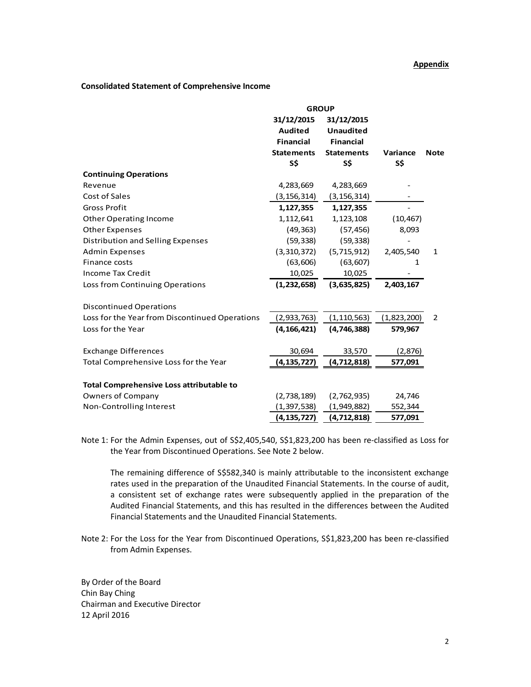## **Consolidated Statement of Comprehensive Income**

|                                                 | <b>GROUP</b>                                                                 |                                                                                |                 |             |
|-------------------------------------------------|------------------------------------------------------------------------------|--------------------------------------------------------------------------------|-----------------|-------------|
|                                                 | 31/12/2015<br><b>Audited</b><br><b>Financial</b><br><b>Statements</b><br>S\$ | 31/12/2015<br><b>Unaudited</b><br><b>Financial</b><br><b>Statements</b><br>S\$ |                 |             |
|                                                 |                                                                              |                                                                                | Variance<br>S\$ | <b>Note</b> |
|                                                 |                                                                              |                                                                                |                 |             |
|                                                 |                                                                              |                                                                                |                 |             |
| <b>Continuing Operations</b>                    |                                                                              |                                                                                |                 |             |
| Revenue                                         | 4,283,669                                                                    | 4,283,669                                                                      |                 |             |
| Cost of Sales                                   | (3,156,314)                                                                  | (3, 156, 314)                                                                  |                 |             |
| <b>Gross Profit</b>                             | 1,127,355                                                                    | 1,127,355                                                                      |                 |             |
| <b>Other Operating Income</b>                   | 1,112,641                                                                    | 1,123,108                                                                      | (10, 467)       |             |
| <b>Other Expenses</b>                           | (49, 363)                                                                    | (57, 456)                                                                      | 8,093           |             |
| Distribution and Selling Expenses               | (59, 338)                                                                    | (59, 338)                                                                      |                 |             |
| <b>Admin Expenses</b>                           | (3,310,372)                                                                  | (5,715,912)                                                                    | 2,405,540       | 1           |
| Finance costs                                   | (63, 606)                                                                    | (63, 607)                                                                      | 1               |             |
| <b>Income Tax Credit</b>                        | 10,025                                                                       | 10,025                                                                         |                 |             |
| Loss from Continuing Operations                 | (1,232,658)                                                                  | (3,635,825)                                                                    | 2,403,167       |             |
| <b>Discontinued Operations</b>                  |                                                                              |                                                                                |                 |             |
| Loss for the Year from Discontinued Operations  | (2,933,763)                                                                  | (1, 110, 563)                                                                  | (1,823,200)     | 2           |
| Loss for the Year                               | (4, 166, 421)                                                                | (4,746,388)                                                                    | 579,967         |             |
| <b>Exchange Differences</b>                     | 30,694                                                                       | 33,570                                                                         | (2,876)         |             |
| Total Comprehensive Loss for the Year           | (4, 135, 727)                                                                | (4, 712, 818)                                                                  | 577,091         |             |
| <b>Total Comprehensive Loss attributable to</b> |                                                                              |                                                                                |                 |             |
| <b>Owners of Company</b>                        | (2,738,189)                                                                  | (2,762,935)                                                                    | 24,746          |             |
| Non-Controlling Interest                        | (1, 397, 538)                                                                | (1,949,882)                                                                    | 552,344         |             |
|                                                 | (4, 135, 727)                                                                | (4,712,818)                                                                    | 577,091         |             |

Note 1: For the Admin Expenses, out of S\$2,405,540, S\$1,823,200 has been re-classified as Loss for the Year from Discontinued Operations. See Note 2 below.

 The remaining difference of S\$582,340 is mainly attributable to the inconsistent exchange rates used in the preparation of the Unaudited Financial Statements. In the course of audit, a consistent set of exchange rates were subsequently applied in the preparation of the Audited Financial Statements, and this has resulted in the differences between the Audited Financial Statements and the Unaudited Financial Statements.

Note 2: For the Loss for the Year from Discontinued Operations, S\$1,823,200 has been re-classified from Admin Expenses.

By Order of the Board Chin Bay Ching Chairman and Executive Director 12 April 2016